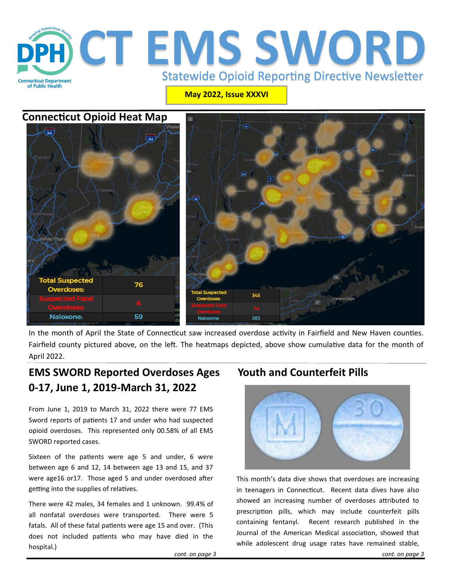

**May 2022, Issue XXXVI**

## **Connecticut Opioid Heat Map**



In the month of April the State of Connecticut saw increased overdose activity in Fairfield and New Haven counties. Fairfield county pictured above, on the left. The heatmaps depicted, above show cumulative data for the month of April 2022.

## **EMS SWORD Reported Overdoses Ages 0-17, June 1, 2019-March 31, 2022**

From June 1, 2019 to March 31, 2022 there were 77 EMS Sword reports of patients 17 and under who had suspected opioid overdoses. This represented only 00.58% of all EMS SWORD reported cases.

Sixteen of the patients were age 5 and under, 6 were between age 6 and 12, 14 between age 13 and 15, and 37 were age16 or17. Those aged 5 and under overdosed after getting into the supplies of relatives.

There were 42 males, 34 females and 1 unknown. 99.4% of all nonfatal overdoses were transported. There were 5 fatals. All of these fatal patients were age 15 and over. (This does not included patients who may have died in the hospital.)

## **Youth and Counterfeit Pills**



This month's data dive shows that overdoses are increasing in teenagers in Connecticut. Recent data dives have also showed an increasing number of overdoses attributed to prescription pills, which may include counterfeit pills containing fentanyl. Recent research published in the Journal of the American Medical association, showed that while adolescent drug usage rates have remained stable,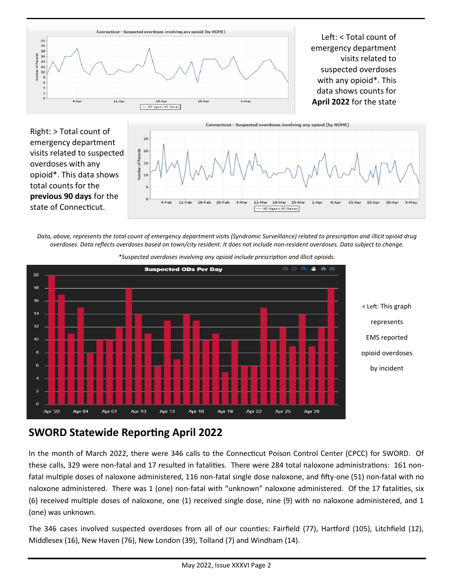

Left: < Total count of emergency department visits related to suspected overdoses with any opioid\*. This data shows counts for **April 2022** for the state

Right: > Total count of emergency department visits related to suspected overdoses with any opioid\*. This data shows total counts for the **previous 90 days** for the state of Connecticut.



*Data, above, represents the total count of emergency department visits (Syndromic Surveillance) related to prescription and illicit opioid drug overdoses. Data reflects overdoses based on town/city resident. It does not include non-resident overdoses. Data subject to change.* 



*\*Suspected overdoses involving any opioid include prescription and illicit opioids.*

# **SWORD Statewide Reporting April 2022**

In the month of March 2022, there were 346 calls to the Connecticut Poison Control Center (CPCC) for SWORD. Of these calls, 329 were non-fatal and 17 resulted in fatalities. There were 284 total naloxone administrations: 161 nonfatal multiple doses of naloxone administered, 116 non-fatal single dose naloxone, and fifty-one (51) non-fatal with no naloxone administered. There was 1 (one) non-fatal with "unknown" naloxone administered. Of the 17 fatalities, six (6) received multiple doses of naloxone, one (1) received single dose, nine (9) with no naloxone administered, and 1 (one) was unknown.

The 346 cases involved suspected overdoses from all of our counties: Fairfield (77), Hartford (105), Litchfield (12), Middlesex (16), New Haven (76), New London (39), Tolland (7) and Windham (14).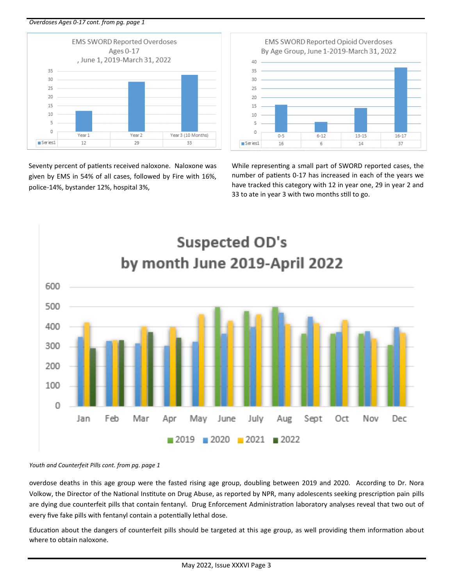*Overdoses Ages 0-17 cont. from pg. page 1*



Seventy percent of patients received naloxone. Naloxone was given by EMS in 54% of all cases, followed by Fire with 16%, police-14%, bystander 12%, hospital 3%,

EMS SWORD Reported Opioid Overdoses By Age Group, June 1-2019-March 31, 2022



While representing a small part of SWORD reported cases, the number of patients 0-17 has increased in each of the years we have tracked this category with 12 in year one, 29 in year 2 and 33 to ate in year 3 with two months still to go.



#### *Youth and Counterfeit Pills cont. from pg. page 1*

overdose deaths in this age group were the fasted rising age group, doubling between 2019 and 2020. According to Dr. Nora Volkow, the Director of the National Institute on Drug Abuse, as reported by NPR, many adolescents seeking prescription pain pills are dying due counterfeit pills that contain fentanyl. Drug Enforcement Administration laboratory analyses reveal that two out of every five fake pills with fentanyl contain a potentially lethal dose.

Education about the dangers of counterfeit pills should be targeted at this age group, as well providing them information about where to obtain naloxone.